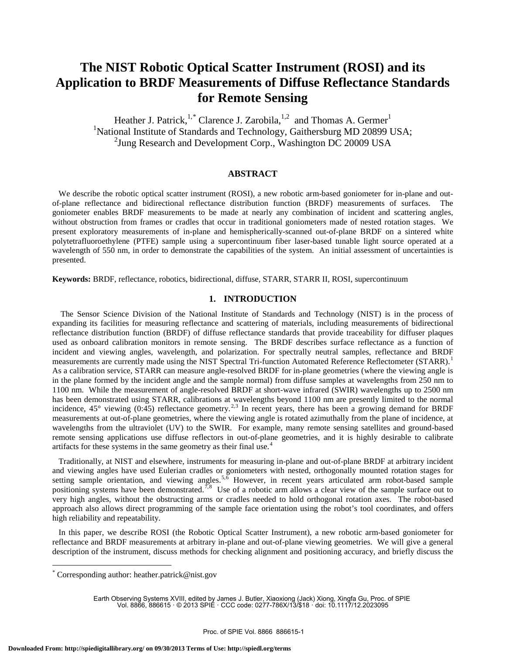# **The NIST Robotic Optical Scatter Instrument (ROSI) and its Application to BRDF Measurements of Diffuse Reflectance Standards for Remote Sensing**

Heather J. Patrick,<sup>1,\*</sup> Clarence J. Zarobila,<sup>1,2</sup> and Thomas A. Germer<sup>1</sup> <sup>1</sup>National Institute of Standards and Technology, Gaithersburg MD 20899 USA; <sup>2</sup> Jung Research and Development Corp., Washington DC 20009 USA

## **ABSTRACT**

We describe the robotic optical scatter instrument (ROSI), a new robotic arm-based goniometer for in-plane and outof-plane reflectance and bidirectional reflectance distribution function (BRDF) measurements of surfaces. The goniometer enables BRDF measurements to be made at nearly any combination of incident and scattering angles, without obstruction from frames or cradles that occur in traditional goniometers made of nested rotation stages. We present exploratory measurements of in-plane and hemispherically-scanned out-of-plane BRDF on a sintered white polytetrafluoroethylene (PTFE) sample using a supercontinuum fiber laser-based tunable light source operated at a wavelength of 550 nm, in order to demonstrate the capabilities of the system. An initial assessment of uncertainties is presented.

**Keywords:** BRDF, reflectance, robotics, bidirectional, diffuse, STARR, STARR II, ROSI, supercontinuum

## **1. INTRODUCTION**

 The Sensor Science Division of the National Institute of Standards and Technology (NIST) is in the process of expanding its facilities for measuring reflectance and scattering of materials, including measurements of bidirectional reflectance distribution function (BRDF) of diffuse reflectance standards that provide traceability for diffuser plaques used as onboard calibration monitors in remote sensing. The BRDF describes surface reflectance as a function of incident and viewing angles, wavelength, and polarization. For spectrally neutral samples, reflectance and BRDF measurements are currently made using the NIST Spectral Tri-function Automated Reference Reflectometer (STARR).<sup>1</sup> As a calibration service, STARR can measure angle-resolved BRDF for in-plane geometries (where the viewing angle is in the plane formed by the incident angle and the sample normal) from diffuse samples at wavelengths from 250 nm to 1100 nm. While the measurement of angle-resolved BRDF at short-wave infrared (SWIR) wavelengths up to 2500 nm has been demonstrated using STARR, calibrations at wavelengths beyond 1100 nm are presently limited to the normal incidence,  $45^{\circ}$  viewing (0:45) reflectance geometry.<sup>2,3</sup> In recent years, there has been a growing demand for BRDF measurements at out-of-plane geometries, where the viewing angle is rotated azimuthally from the plane of incidence, at wavelengths from the ultraviolet (UV) to the SWIR. For example, many remote sensing satellites and ground-based remote sensing applications use diffuse reflectors in out-of-plane geometries, and it is highly desirable to calibrate artifacts for these systems in the same geometry as their final use.<sup>4</sup>

 Traditionally, at NIST and elsewhere, instruments for measuring in-plane and out-of-plane BRDF at arbitrary incident and viewing angles have used Eulerian cradles or goniometers with nested, orthogonally mounted rotation stages for setting sample orientation, and viewing angles.<sup>5,6</sup> However, in recent years articulated arm robot-based sample positioning systems have been demonstrated.<sup>7,8</sup> Use of a robotic arm allows a clear view of the sample surface out to very high angles, without the obstructing arms or cradles needed to hold orthogonal rotation axes. The robot-based approach also allows direct programming of the sample face orientation using the robot's tool coordinates, and offers high reliability and repeatability.

 In this paper, we describe ROSI (the Robotic Optical Scatter Instrument), a new robotic arm-based goniometer for reflectance and BRDF measurements at arbitrary in-plane and out-of-plane viewing geometries. We will give a general description of the instrument, discuss methods for checking alignment and positioning accuracy, and briefly discuss the

<u>.</u>

Earth Observing Systems XVIII, edited by James J. Butler, Xiaoxiong (Jack) Xiong, Xingfa Gu, Proc. of SPIE Vol. 8866, 886615 · © 2013 SPIE · CCC code: 0277-786X/13/\$18 · doi: 10.1117/12.2023095

Corresponding author: heather.patrick@nist.gov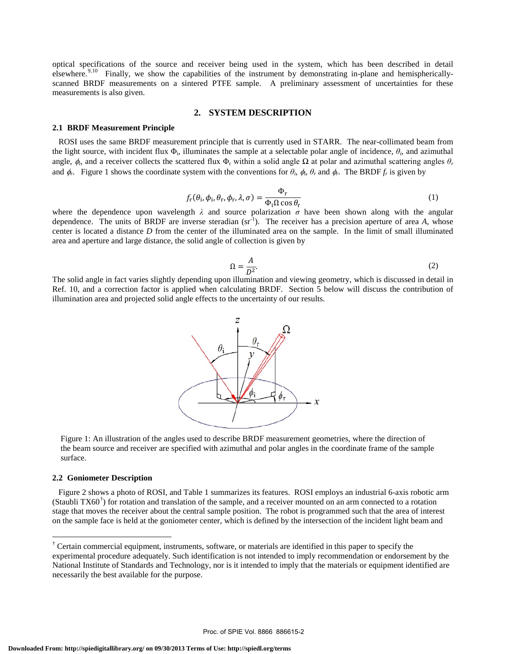optical specifications of the source and receiver being used in the system, which has been described in detail elsewhere.<sup>9,10</sup> Finally, we show the capabilities of the instrument by demonstrating in-plane and hemisphericallyscanned BRDF measurements on a sintered PTFE sample. A preliminary assessment of uncertainties for these measurements is also given.

## **2. SYSTEM DESCRIPTION**

#### **2.1 BRDF Measurement Principle**

 ROSI uses the same BRDF measurement principle that is currently used in STARR. The near-collimated beam from the light source, with incident flux  $\Phi_i$ , illuminates the sample at a selectable polar angle of incidence,  $\theta_i$ , and azimuthal angle,  $\phi_i$ , and a receiver collects the scattered flux  $\Phi_r$  within a solid angle  $\Omega$  at polar and azimuthal scattering angles  $\theta_r$ and  $\phi_r$ . Figure 1 shows the coordinate system with the conventions for  $\theta_i$ ,  $\phi_i$ ,  $\theta_r$  and  $\phi_r$ . The BRDF  $f_r$  is given by

$$
f_{\rm r}(\theta_{\rm i}, \phi_{\rm i}, \theta_{\rm r}, \lambda, \sigma) = \frac{\Phi_{\rm r}}{\Phi_{\rm i} \Omega \cos \theta_{\rm r}}\tag{1}
$$

where the dependence upon wavelength  $\lambda$  and source polarization  $\sigma$  have been shown along with the angular dependence. The units of BRDF are inverse steradian (sr<sup>-1</sup>). The receiver has a precision aperture of area *A*, whose center is located a distance *D* from the center of the illuminated area on the sample. In the limit of small illuminated area and aperture and large distance, the solid angle of collection is given by

$$
\Omega = \frac{A}{D^2}.\tag{2}
$$

 $\Omega = \frac{N}{D^2}$ . (2)<br>The solid angle in fact varies slightly depending upon illumination and viewing geometry, which is discussed in detail in Ref. 10, and a correction factor is applied when calculating BRDF. Section 5 below will discuss the contribution of illumination area and projected solid angle effects to the uncertainty of our results.



Figure 1: An illustration of the angles used to describe BRDF measurement geometries, where the direction of the beam source and receiver are specified with azimuthal and polar angles in the coordinate frame of the sample surface.

#### **2.2 Goniometer Description**

<u>.</u>

 Figure 2 shows a photo of ROSI, and Table 1 summarizes its features. ROSI employs an industrial 6-axis robotic arm (Staubli  $TX60^{\dagger}$ ) for rotation and translation of the sample, and a receiver mounted on an arm connected to a rotation stage that moves the receiver about the central sample position. The robot is programmed such that the area of interest on the sample face is held at the goniometer center, which is defined by the intersection of the incident light beam and

<sup>†</sup> Certain commercial equipment, instruments, software, or materials are identified in this paper to specify the experimental procedure adequately. Such identification is not intended to imply recommendation or endorsement by the National Institute of Standards and Technology, nor is it intended to imply that the materials or equipment identified are necessarily the best available for the purpose.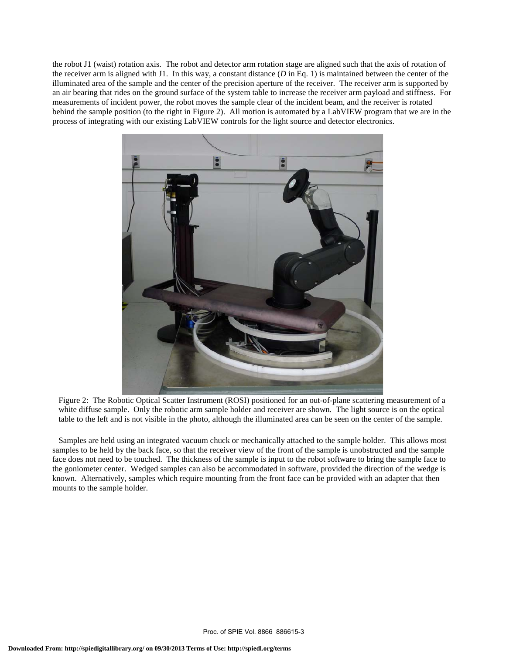the robot J1 (waist) rotation axis. The robot and detector arm rotation stage are aligned such that the axis of rotation of the receiver arm is aligned with J1. In this way, a constant distance  $(D \text{ in Eq. 1})$  is maintained between the center of the illuminated area of the sample and the center of the precision aperture of the receiver. The receiver arm is supported by an air bearing that rides on the ground surface of the system table to increase the receiver arm payload and stiffness. For measurements of incident power, the robot moves the sample clear of the incident beam, and the receiver is rotated behind the sample position (to the right in Figure 2). All motion is automated by a LabVIEW program that we are in the process of integrating with our existing LabVIEW controls for the light source and detector electronics.



Figure 2: The Robotic Optical Scatter Instrument (ROSI) positioned for an out-of-plane scattering measurement of a white diffuse sample. Only the robotic arm sample holder and receiver are shown. The light source is on the optical table to the left and is not visible in the photo, although the illuminated area can be seen on the center of the sample.

 Samples are held using an integrated vacuum chuck or mechanically attached to the sample holder. This allows most samples to be held by the back face, so that the receiver view of the front of the sample is unobstructed and the sample face does not need to be touched. The thickness of the sample is input to the robot software to bring the sample face to the goniometer center. Wedged samples can also be accommodated in software, provided the direction of the wedge is known. Alternatively, samples which require mounting from the front face can be provided with an adapter that then mounts to the sample holder.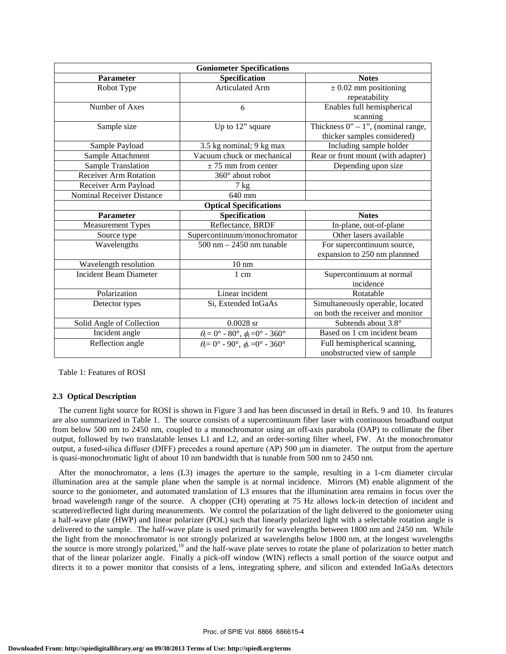| <b>Goniometer Specifications</b> |                                                                                                                           |                                         |  |
|----------------------------------|---------------------------------------------------------------------------------------------------------------------------|-----------------------------------------|--|
| <b>Parameter</b>                 | Specification                                                                                                             | <b>Notes</b>                            |  |
| Robot Type                       | <b>Articulated Arm</b>                                                                                                    | $\pm$ 0.02 mm positioning               |  |
|                                  |                                                                                                                           | repeatability                           |  |
| Number of Axes                   | 6                                                                                                                         | Enables full hemispherical              |  |
|                                  |                                                                                                                           | scanning                                |  |
| Sample size                      | Up to 12" square                                                                                                          | Thickness $0'' - 1''$ , (nominal range, |  |
|                                  |                                                                                                                           | thicker samples considered)             |  |
| Sample Payload                   | 3.5 kg nominal; 9 kg max                                                                                                  | Including sample holder                 |  |
| Sample Attachment                | Vacuum chuck or mechanical                                                                                                | Rear or front mount (with adapter)      |  |
| Sample Translation               | $\pm$ 75 mm from center                                                                                                   | Depending upon size                     |  |
| <b>Receiver Arm Rotation</b>     | 360° about robot                                                                                                          |                                         |  |
| Receiver Arm Payload             | $7$ kg                                                                                                                    |                                         |  |
| <b>Nominal Receiver Distance</b> | 640 mm                                                                                                                    |                                         |  |
| <b>Optical Specifications</b>    |                                                                                                                           |                                         |  |
| Parameter                        | Specification                                                                                                             | <b>Notes</b>                            |  |
| <b>Measurement Types</b>         | Reflectance, BRDF                                                                                                         | In-plane, out-of-plane                  |  |
| Source type                      | Supercontinuum/monochromator                                                                                              | Other lasers available                  |  |
|                                  |                                                                                                                           |                                         |  |
| Wavelengths                      | $500 \text{ nm} - 2450 \text{ nm}$ tunable                                                                                | For supercontinuum source,              |  |
|                                  |                                                                                                                           | expansion to 250 nm plannned            |  |
| Wavelength resolution            | $10 \text{ nm}$                                                                                                           |                                         |  |
| <b>Incident Beam Diameter</b>    | 1 cm                                                                                                                      | Supercontinuum at normal                |  |
|                                  |                                                                                                                           | incidence                               |  |
| Polarization                     | Linear incident                                                                                                           | Rotatable                               |  |
| Detector types                   | Si, Extended InGaAs                                                                                                       | Simultaneously operable, located        |  |
|                                  |                                                                                                                           | on both the receiver and monitor        |  |
| Solid Angle of Collection        | $0.0028$ sr                                                                                                               | Subtends about 3.8°                     |  |
| Incident angle                   |                                                                                                                           | Based on 1 cm incident beam             |  |
| Reflection angle                 | $\theta_i = 0^\circ - 80^\circ$ , $\phi_i = 0^\circ - 360^\circ$<br>$\theta_r = 0^\circ$ - 90°, $\phi_r = 0^\circ$ - 360° | Full hemispherical scanning,            |  |

Table 1: Features of ROSI

## **2.3 Optical Description**

 The current light source for ROSI is shown in Figure 3 and has been discussed in detail in Refs. 9 and 10. Its features are also summarized in Table 1. The source consists of a supercontinuum fiber laser with continuous broadband output from below 500 nm to 2450 nm, coupled to a monochromator using an off-axis parabola (OAP) to collimate the fiber output, followed by two translatable lenses L1 and L2, and an order-sorting filter wheel, FW. At the monochromator output, a fused-silica diffuser (DIFF) precedes a round aperture (AP) 500 μm in diameter. The output from the aperture is quasi-monochromatic light of about 10 nm bandwidth that is tunable from 500 nm to 2450 nm.

 After the monochromator, a lens (L3) images the aperture to the sample, resulting in a 1-cm diameter circular illumination area at the sample plane when the sample is at normal incidence. Mirrors (M) enable alignment of the source to the goniometer, and automated translation of L3 ensures that the illumination area remains in focus over the broad wavelength range of the source. A chopper (CH) operating at 75 Hz allows lock-in detection of incident and scattered/reflected light during measurements. We control the polarization of the light delivered to the goniometer using a half-wave plate (HWP) and linear polarizer (POL) such that linearly polarized light with a selectable rotation angle is delivered to the sample. The half-wave plate is used primarily for wavelengths between 1800 nm and 2450 nm. While the light from the monochromator is not strongly polarized at wavelengths below 1800 nm, at the longest wavelengths the source is more strongly polarized,<sup>10</sup> and the half-wave plate serves to rotate the plane of polarization to better match that of the linear polarizer angle. Finally a pick-off window (WIN) reflects a small portion of the source output and directs it to a power monitor that consists of a lens, integrating sphere, and silicon and extended InGaAs detectors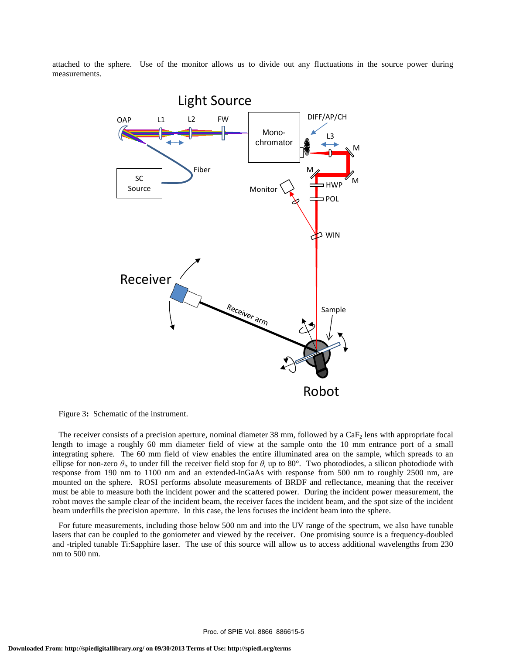attached to the sphere. Use of the monitor allows us to divide out any fluctuations in the source power during measurements.



Figure 3**:** Schematic of the instrument.

The receiver consists of a precision aperture, nominal diameter 38 mm, followed by a  $CaF<sub>2</sub>$  lens with appropriate focal length to image a roughly 60 mm diameter field of view at the sample onto the 10 mm entrance port of a small integrating sphere. The 60 mm field of view enables the entire illuminated area on the sample, which spreads to an ellipse for non-zero  $\theta_i$ , to under fill the receiver field stop for  $\theta_i$  up to 80°. Two photodiodes, a silicon photodiode with response from 190 nm to 1100 nm and an extended-InGaAs with response from 500 nm to roughly 2500 nm, are mounted on the sphere. ROSI performs absolute measurements of BRDF and reflectance, meaning that the receiver must be able to measure both the incident power and the scattered power. During the incident power measurement, the robot moves the sample clear of the incident beam, the receiver faces the incident beam, and the spot size of the incident beam underfills the precision aperture. In this case, the lens focuses the incident beam into the sphere.

 For future measurements, including those below 500 nm and into the UV range of the spectrum, we also have tunable lasers that can be coupled to the goniometer and viewed by the receiver. One promising source is a frequency-doubled and -tripled tunable Ti:Sapphire laser. The use of this source will allow us to access additional wavelengths from 230 nm to 500 nm.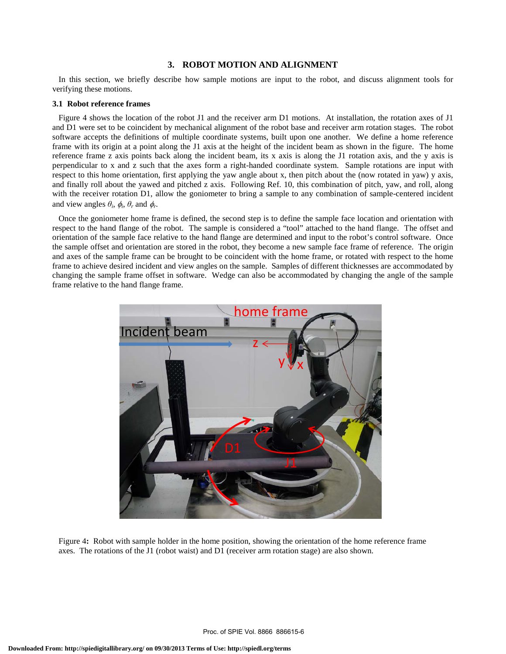## **3. ROBOT MOTION AND ALIGNMENT**

 In this section, we briefly describe how sample motions are input to the robot, and discuss alignment tools for verifying these motions.

#### **3.1 Robot reference frames**

 Figure 4 shows the location of the robot J1 and the receiver arm D1 motions. At installation, the rotation axes of J1 and D1 were set to be coincident by mechanical alignment of the robot base and receiver arm rotation stages. The robot software accepts the definitions of multiple coordinate systems, built upon one another. We define a home reference frame with its origin at a point along the J1 axis at the height of the incident beam as shown in the figure. The home reference frame z axis points back along the incident beam, its x axis is along the J1 rotation axis, and the y axis is perpendicular to x and z such that the axes form a right-handed coordinate system. Sample rotations are input with respect to this home orientation, first applying the yaw angle about x, then pitch about the (now rotated in yaw) y axis, and finally roll about the yawed and pitched z axis. Following Ref. 10, this combination of pitch, yaw, and roll, along with the receiver rotation D1, allow the goniometer to bring a sample to any combination of sample-centered incident and view angles  $\theta_i$ ,  $\phi_i$ ,  $\theta_r$  and  $\phi_r$ .

 Once the goniometer home frame is defined, the second step is to define the sample face location and orientation with respect to the hand flange of the robot. The sample is considered a "tool" attached to the hand flange. The offset and orientation of the sample face relative to the hand flange are determined and input to the robot's control software. Once the sample offset and orientation are stored in the robot, they become a new sample face frame of reference. The origin and axes of the sample frame can be brought to be coincident with the home frame, or rotated with respect to the home frame to achieve desired incident and view angles on the sample. Samples of different thicknesses are accommodated by changing the sample frame offset in software. Wedge can also be accommodated by changing the angle of the sample frame relative to the hand flange frame.



Figure 4**:** Robot with sample holder in the home position, showing the orientation of the home reference frame axes. The rotations of the J1 (robot waist) and D1 (receiver arm rotation stage) are also shown.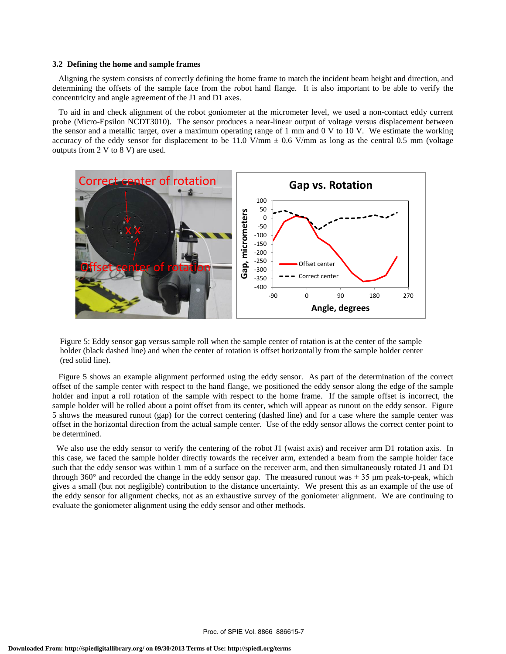#### **3.2 Defining the home and sample frames**

 Aligning the system consists of correctly defining the home frame to match the incident beam height and direction, and determining the offsets of the sample face from the robot hand flange. It is also important to be able to verify the concentricity and angle agreement of the J1 and D1 axes.

 To aid in and check alignment of the robot goniometer at the micrometer level, we used a non-contact eddy current probe (Micro-Epsilon NCDT3010). The sensor produces a near-linear output of voltage versus displacement between the sensor and a metallic target, over a maximum operating range of 1 mm and 0 V to 10 V. We estimate the working accuracy of the eddy sensor for displacement to be 11.0 V/mm  $\pm$  0.6 V/mm as long as the central 0.5 mm (voltage outputs from 2 V to 8 V) are used.



Figure 5: Eddy sensor gap versus sample roll when the sample center of rotation is at the center of the sample holder (black dashed line) and when the center of rotation is offset horizontally from the sample holder center (red solid line).

 Figure 5 shows an example alignment performed using the eddy sensor. As part of the determination of the correct offset of the sample center with respect to the hand flange, we positioned the eddy sensor along the edge of the sample holder and input a roll rotation of the sample with respect to the home frame. If the sample offset is incorrect, the sample holder will be rolled about a point offset from its center, which will appear as runout on the eddy sensor. Figure 5 shows the measured runout (gap) for the correct centering (dashed line) and for a case where the sample center was offset in the horizontal direction from the actual sample center. Use of the eddy sensor allows the correct center point to be determined.

We also use the eddy sensor to verify the centering of the robot J1 (waist axis) and receiver arm D1 rotation axis. In this case, we faced the sample holder directly towards the receiver arm, extended a beam from the sample holder face such that the eddy sensor was within 1 mm of a surface on the receiver arm, and then simultaneously rotated J1 and D1 through 360 $^{\circ}$  and recorded the change in the eddy sensor gap. The measured runout was  $\pm$  35 µm peak-to-peak, which gives a small (but not negligible) contribution to the distance uncertainty. We present this as an example of the use of the eddy sensor for alignment checks, not as an exhaustive survey of the goniometer alignment. We are continuing to evaluate the goniometer alignment using the eddy sensor and other methods.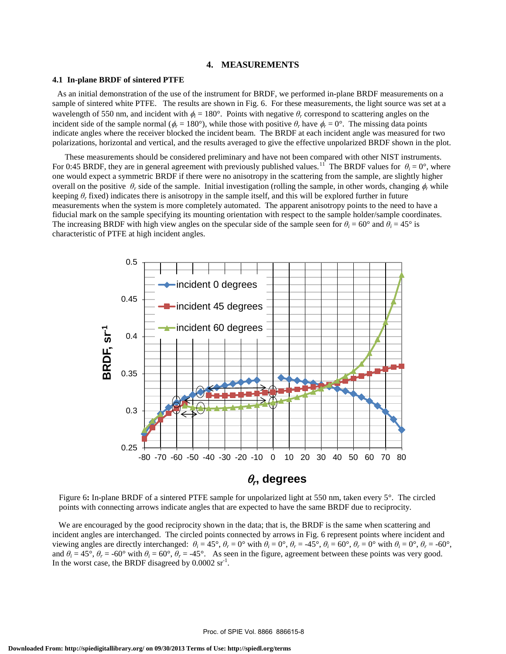#### **4. MEASUREMENTS**

## **4.1 In-plane BRDF of sintered PTFE**

 As an initial demonstration of the use of the instrument for BRDF, we performed in-plane BRDF measurements on a sample of sintered white PTFE. The results are shown in Fig. 6. For these measurements, the light source was set at a wavelength of 550 nm, and incident with  $\phi_i = 180^\circ$ . Points with negative  $\theta_r$  correspond to scattering angles on the incident side of the sample normal ( $\phi_r = 180^\circ$ ), while those with positive  $\theta_r$  have  $\phi_r = 0^\circ$ . The missing data points indicate angles where the receiver blocked the incident beam. The BRDF at each incident angle was measured for two polarizations, horizontal and vertical, and the results averaged to give the effective unpolarized BRDF shown in the plot.

 These measurements should be considered preliminary and have not been compared with other NIST instruments. For 0:45 BRDF, they are in general agreement with previously published values.<sup>11</sup> The BRDF values for  $\theta_i = 0^\circ$ , where one would expect a symmetric BRDF if there were no anisotropy in the scattering from the sample, are slightly higher overall on the positive  $\theta_r$  side of the sample. Initial investigation (rolling the sample, in other words, changing  $\phi_r$  while keeping  $\theta_r$  fixed) indicates there is anisotropy in the sample itself, and this will be explored further in future measurements when the system is more completely automated. The apparent anisotropy points to the need to have a fiducial mark on the sample specifying its mounting orientation with respect to the sample holder/sample coordinates. The increasing BRDF with high view angles on the specular side of the sample seen for  $\theta_i = 60^\circ$  and  $\theta_i = 45^\circ$  is characteristic of PTFE at high incident angles.



Figure 6**:** In-plane BRDF of a sintered PTFE sample for unpolarized light at 550 nm, taken every 5°. The circled points with connecting arrows indicate angles that are expected to have the same BRDF due to reciprocity.

We are encouraged by the good reciprocity shown in the data; that is, the BRDF is the same when scattering and incident angles are interchanged. The circled points connected by arrows in Fig. 6 represent points where incident and viewing angles are directly interchanged:  $\theta_i = 45^\circ$ ,  $\theta_r = 0^\circ$  with  $\theta_i = 0^\circ$ ,  $\theta_r = 45^\circ$ ,  $\theta_i = 60^\circ$ ,  $\theta_r = 0^\circ$  with  $\theta_i = 0^\circ$ ,  $\theta_r = -60^\circ$ , and  $\theta_i = 45^\circ$ ,  $\theta_r = -60^\circ$  with  $\theta_i = 60^\circ$ ,  $\theta_r = -45^\circ$ . As seen in the figure, agreement between these points was very good. In the worst case, the BRDF disagreed by  $0.0002 \text{ sr}^{-1}$ .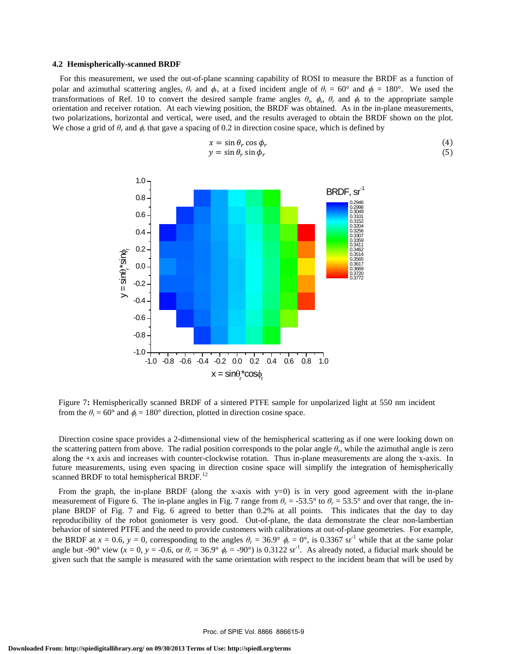#### **4.2 Hemispherically-scanned BRDF**

 For this measurement, we used the out-of-plane scanning capability of ROSI to measure the BRDF as a function of polar and azimuthal scattering angles,  $\theta_r$  and  $\phi_r$ , at a fixed incident angle of  $\theta_i = 60^\circ$  and  $\phi_i = 180^\circ$ . We used the transformations of Ref. 10 to convert the desired sample frame angles  $\theta_i$ ,  $\phi_s$ ,  $\theta_r$  and  $\phi_r$  to the appropriate sample orientation and receiver rotation. At each viewing position, the BRDF was obtained. As in the in-plane measurements, two polarizations, horizontal and vertical, were used, and the results averaged to obtain the BRDF shown on the plot. We chose a grid of  $\theta_r$  and  $\phi_r$  that gave a spacing of 0.2 in direction cosine space, which is defined by

$$
x = \sin \theta_r \cos \phi_r
$$
  
\n
$$
y = \sin \theta_r \sin \phi_r
$$
\n(4)



Figure 7**:** Hemispherically scanned BRDF of a sintered PTFE sample for unpolarized light at 550 nm incident from the  $\theta_i = 60^\circ$  and  $\phi_i = 180^\circ$  direction, plotted in direction cosine space.

 Direction cosine space provides a 2-dimensional view of the hemispherical scattering as if one were looking down on the scattering pattern from above. The radial position corresponds to the polar angle  $\theta_r$ , while the azimuthal angle is zero along the +x axis and increases with counter-clockwise rotation. Thus in-plane measurements are along the x-axis. In future measurements, using even spacing in direction cosine space will simplify the integration of hemispherically scanned BRDF to total hemispherical BRDF.<sup>12</sup>

From the graph, the in-plane BRDF (along the x-axis with y=0) is in very good agreement with the in-plane measurement of Figure 6. The in-plane angles in Fig. 7 range from  $\theta_r = -53.5^\circ$  to  $\theta_r = 53.5^\circ$  and over that range, the inplane BRDF of Fig. 7 and Fig. 6 agreed to better than 0.2% at all points. This indicates that the day to day reproducibility of the robot goniometer is very good. Out-of-plane, the data demonstrate the clear non-lambertian behavior of sintered PTFE and the need to provide customers with calibrations at out-of-plane geometries. For example, the BRDF at  $x = 0.6$ ,  $y = 0$ , corresponding to the angles  $\theta_r = 36.9^\circ$   $\phi_r = 0^\circ$ , is 0.3367 sr<sup>-1</sup> while that at the same polar angle but -90° view ( $x = 0$ ,  $y = -0.6$ , or  $\theta_r = 36.9^\circ$   $\phi_r = -90^\circ$ ) is 0.3122 sr<sup>-1</sup>. As already noted, a fiducial mark should be given such that the sample is measured with the same orientation with respect to the incident beam that will be used by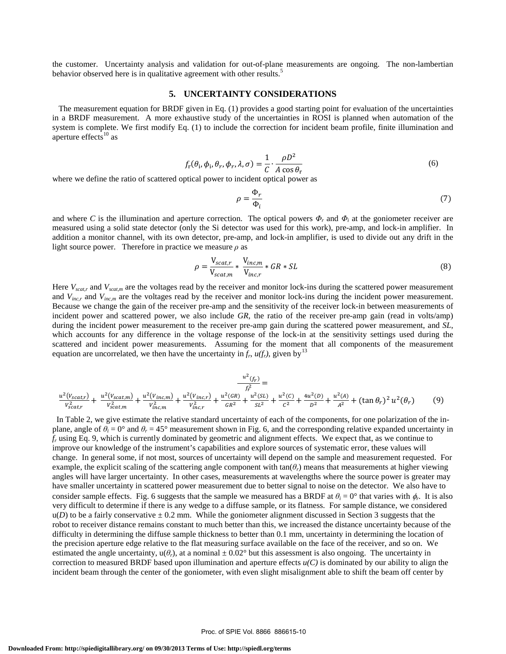the customer. Uncertainty analysis and validation for out-of-plane measurements are ongoing. The non-lambertian behavior observed here is in qualitative agreement with other results.<sup>5</sup>

## **5. UNCERTAINTY CONSIDERATIONS**

 The measurement equation for BRDF given in Eq. (1) provides a good starting point for evaluation of the uncertainties in a BRDF measurement. A more exhaustive study of the uncertainties in ROSI is planned when automation of the system is complete. We first modify Eq. (1) to include the correction for incident beam profile, finite illumination and aperture effects $^{10}$  as

$$
f_{\rm r}(\theta_{\rm i}, \phi_{\rm i}, \theta_{r}, \phi_{r}, \lambda, \sigma) = \frac{1}{C} \cdot \frac{\rho D^2}{A \cos \theta_{\rm r}}
$$
(6)

where we define the ratio of scattered optical power to incident optical power as

$$
\rho = \frac{\Phi_r}{\Phi_i} \tag{7}
$$

and where *C* is the illumination and aperture correction. The optical powers  $\Phi_r$  and  $\Phi_i$  at the goniometer receiver are measured using a solid state detector (only the Si detector was used for this work), pre-amp, and lock-in amplifier. In addition a monitor channel, with its own detector, pre-amp, and lock-in amplifier, is used to divide out any drift in the light source power. Therefore in practice we measure *ρ* as

$$
\rho = \frac{V_{scat,r}}{V_{scat,m}} * \frac{V_{inc,m}}{V_{inc,r}} * GR * SL \tag{8}
$$

Here  $V_{scat,r}$  and  $V_{scat,m}$  are the voltages read by the receiver and monitor lock-ins during the scattered power measurement and *V<sub>inc,r</sub>* and *V<sub>inc,m</sub>* are the voltages read by the receiver and monitor lock-ins during the incident power measurement. Because we change the gain of the receiver pre-amp and the sensitivity of the receiver lock-in between measurements of incident power and scattered power, we also include *GR*, the ratio of the receiver pre-amp gain (read in volts/amp) during the incident power measurement to the receiver pre-amp gain during the scattered power measurement, and *SL*, which accounts for any difference in the voltage response of the lock-in at the sensitivity settings used during the scattered and incident power measurements. Assuming for the moment that all components of the measurement equation are uncorrelated, we then have the uncertainty in  $f_r$ ,  $u(f_r)$ , given by<sup>13</sup>

$$
\frac{u^2(f_r)}{f_r^2} = \frac{u^2(V_{scat,r})}{V_{scat,r}^2} + \frac{u^2(V_{inc,m})}{V_{scat,m}^2} + \frac{u^2(V_{inc,r})}{V_{inc,r}^2} + \frac{u^2(GR)}{GR^2} + \frac{u^2(SL)}{SL^2} + \frac{u^2(C)}{C^2} + \frac{4u^2(D)}{D^2} + \frac{u^2(A)}{A^2} + (\tan \theta_r)^2 u^2(\theta_r) \tag{9}
$$

 In Table 2, we give estimate the relative standard uncertainty of each of the components, for one polarization of the inplane, angle of  $\theta_i = 0^\circ$  and  $\theta_r = 45^\circ$  measurement shown in Fig. 6, and the corresponding relative expanded uncertainty in *fr* using Eq. 9, which is currently dominated by geometric and alignment effects. We expect that, as we continue to improve our knowledge of the instrument's capabilities and explore sources of systematic error, these values will change. In general some, if not most, sources of uncertainty will depend on the sample and measurement requested. For example, the explicit scaling of the scattering angle component with  $tan(\theta_r)$  means that measurements at higher viewing angles will have larger uncertainty. In other cases, measurements at wavelengths where the source power is greater may have smaller uncertainty in scattered power measurement due to better signal to noise on the detector. We also have to consider sample effects. Fig. 6 suggests that the sample we measured has a BRDF at  $\theta_i = 0^\circ$  that varies with  $\phi_r$ . It is also very difficult to determine if there is any wedge to a diffuse sample, or its flatness. For sample distance, we considered  $u(D)$  to be a fairly conservative  $\pm$  0.2 mm. While the goniometer alignment discussed in Section 3 suggests that the robot to receiver distance remains constant to much better than this, we increased the distance uncertainty because of the difficulty in determining the diffuse sample thickness to better than 0.1 mm, uncertainty in determining the location of the precision aperture edge relative to the flat measuring surface available on the face of the receiver, and so on. We estimated the angle uncertainty,  $u(\theta_r)$ , at a nominal  $\pm 0.02^{\circ}$  but this assessment is also ongoing. The uncertainty in correction to measured BRDF based upon illumination and aperture effects  $u(C)$  is dominated by our ability to align the incident beam through the center of the goniometer, with even slight misalignment able to shift the beam off center by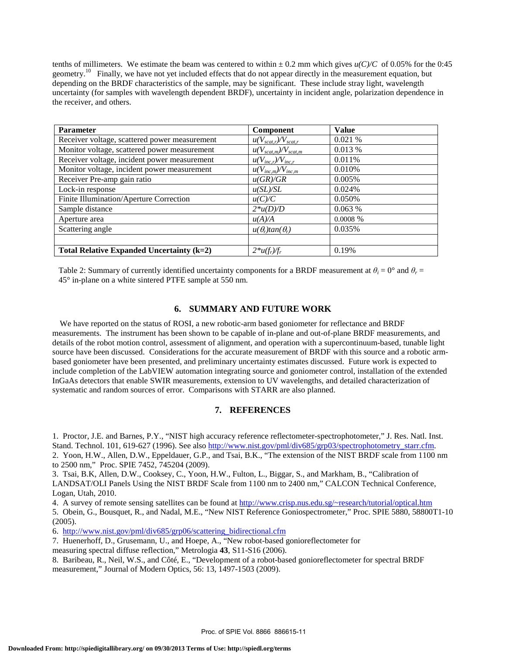tenths of millimeters. We estimate the beam was centered to within  $\pm$  0.2 mm which gives  $u(C)/C$  of 0.05% for the 0:45 geometry.<sup>10</sup> Finally, we have not yet included effects that do not appear directly in the measurement equation, but depending on the BRDF characteristics of the sample, may be significant. These include stray light, wavelength uncertainty (for samples with wavelength dependent BRDF), uncertainty in incident angle, polarization dependence in the receiver, and others.

| <b>Parameter</b>                              | Component                      | <b>Value</b> |
|-----------------------------------------------|--------------------------------|--------------|
| Receiver voltage, scattered power measurement | $u(V_{scat,r})/V_{scat,r}$     | 0.021%       |
| Monitor voltage, scattered power measurement  | $u(V_{scat,m})/V_{scat,m}$     | 0.013 %      |
| Receiver voltage, incident power measurement  | $u(V_{inc,r})/V_{inc,r}$       | 0.011%       |
| Monitor voltage, incident power measurement   | $u(V_{inc,m})/V_{inc,m}$       | 0.010%       |
| Receiver Pre-amp gain ratio                   | u(GR)/GR                       | 0.005%       |
| Lock-in response                              | u(SL)/SL                       | 0.024%       |
| Finite Illumination/Aperture Correction       | u(C)/C                         | 0.050%       |
| Sample distance                               | $2*u(D)/D$                     | 0.063%       |
| Aperture area                                 | u(A)/A                         | $0.0008\%$   |
| Scattering angle                              | $u(\theta_r)$ tan $(\theta_r)$ | 0.035%       |
|                                               |                                |              |
| Total Relative Expanded Uncertainty $(k=2)$   | $2*u(f_r)/f_r$                 | 0.19%        |

Table 2: Summary of currently identified uncertainty components for a BRDF measurement at  $\theta_i = 0^\circ$  and  $\theta_r = 0^\circ$ 45° in-plane on a white sintered PTFE sample at 550 nm.

# **6. SUMMARY AND FUTURE WORK**

 We have reported on the status of ROSI, a new robotic-arm based goniometer for reflectance and BRDF measurements. The instrument has been shown to be capable of in-plane and out-of-plane BRDF measurements, and details of the robot motion control, assessment of alignment, and operation with a supercontinuum-based, tunable light source have been discussed. Considerations for the accurate measurement of BRDF with this source and a robotic armbased goniometer have been presented, and preliminary uncertainty estimates discussed. Future work is expected to include completion of the LabVIEW automation integrating source and goniometer control, installation of the extended InGaAs detectors that enable SWIR measurements, extension to UV wavelengths, and detailed characterization of systematic and random sources of error. Comparisons with STARR are also planned.

# **7. REFERENCES**

1. Proctor, J.E. and Barnes, P.Y., "NIST high accuracy reference reflectometer-spectrophotometer," J. Res. Natl. Inst. Stand. Technol. 101, 619-627 (1996). See also http://www.nist.gov/pml/div685/grp03/spectrophotometry\_starr.cfm. 2. Yoon, H.W., Allen, D.W., Eppeldauer, G.P., and Tsai, B.K., "The extension of the NIST BRDF scale from 1100 nm to 2500 nm," Proc. SPIE 7452, 745204 (2009).

3. Tsai, B.K, Allen, D.W., Cooksey, C., Yoon, H.W., Fulton, L., Biggar, S., and Markham, B., "Calibration of LANDSAT/OLI Panels Using the NIST BRDF Scale from 1100 nm to 2400 nm," CALCON Technical Conference, Logan, Utah, 2010.

4. A survey of remote sensing satellites can be found at http://www.crisp.nus.edu.sg/~research/tutorial/optical.htm

5. Obein, G., Bousquet, R., and Nadal, M.E., "New NIST Reference Goniospectrometer," Proc. SPIE 5880, 58800T1-10 (2005).

6. http://www.nist.gov/pml/div685/grp06/scattering\_bidirectional.cfm

7. Huenerhoff, D., Grusemann, U., and Hoepe, A., "New robot-based gonioreflectometer for

measuring spectral diffuse reflection," Metrologia **43**, S11-S16 (2006).

8. Baribeau, R., Neil, W.S., and Côté, E., "Development of a robot-based gonioreflectometer for spectral BRDF measurement," Journal of Modern Optics, 56: 13, 1497-1503 (2009).